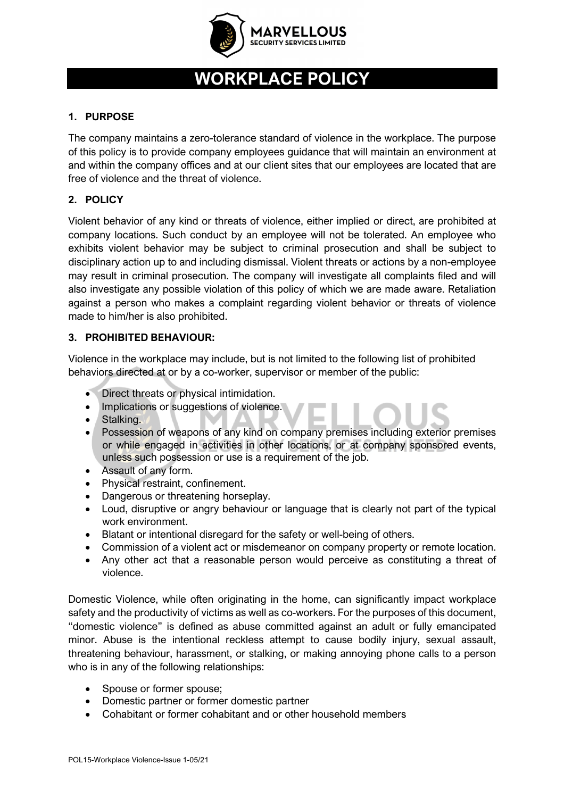

# **WORKPLACE POLICY**

### **1. PURPOSE**

The company maintains a zero-tolerance standard of violence in the workplace. The purpose of this policy is to provide company employees guidance that will maintain an environment at and within the company offices and at our client sites that our employees are located that are free of violence and the threat of violence.

## **2. POLICY**

Violent behavior of any kind or threats of violence, either implied or direct, are prohibited at company locations. Such conduct by an employee will not be tolerated. An employee who exhibits violent behavior may be subject to criminal prosecution and shall be subject to disciplinary action up to and including dismissal. Violent threats or actions by a non-employee may result in criminal prosecution. The company will investigate all complaints filed and will also investigate any possible violation of this policy of which we are made aware. Retaliation against a person who makes a complaint regarding violent behavior or threats of violence made to him/her is also prohibited.

### **3. PROHIBITED BEHAVIOUR:**

Violence in the workplace may include, but is not limited to the following list of prohibited behaviors directed at or by a co-worker, supervisor or member of the public:

- Direct threats or physical intimidation.
- Implications or suggestions of violence.
- Stalking.
- Possession of weapons of any kind on company premises including exterior premises or while engaged in activities in other locations, or at company sponsored events, unless such possession or use is a requirement of the job.
- Assault of any form.
- Physical restraint, confinement.
- Dangerous or threatening horseplay.
- Loud, disruptive or angry behaviour or language that is clearly not part of the typical work environment.
- Blatant or intentional disregard for the safety or well-being of others.
- Commission of a violent act or misdemeanor on company property or remote location.
- Any other act that a reasonable person would perceive as constituting a threat of violence.

Domestic Violence, while often originating in the home, can significantly impact workplace safety and the productivity of victims as well as co-workers. For the purposes of this document, "domestic violence" is defined as abuse committed against an adult or fully emancipated minor. Abuse is the intentional reckless attempt to cause bodily injury, sexual assault, threatening behaviour, harassment, or stalking, or making annoying phone calls to a person who is in any of the following relationships:

- Spouse or former spouse;
- Domestic partner or former domestic partner
- Cohabitant or former cohabitant and or other household members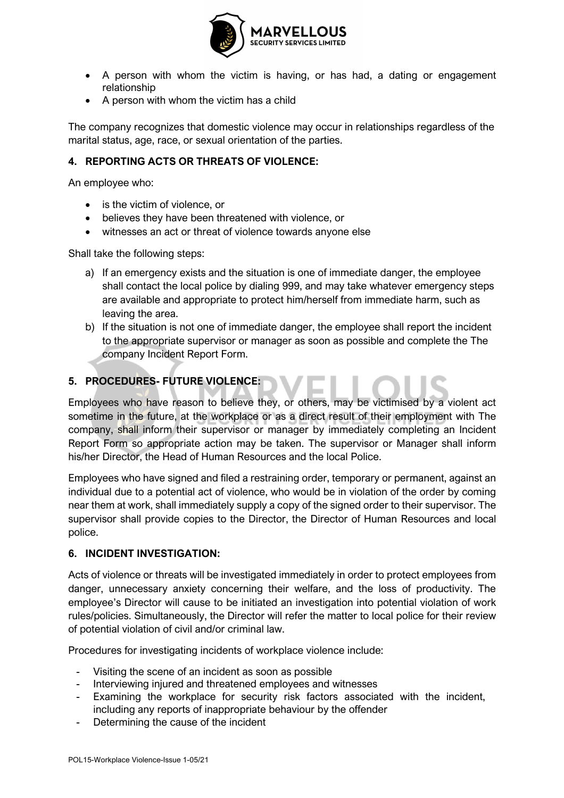

- A person with whom the victim is having, or has had, a dating or engagement relationship
- A person with whom the victim has a child

The company recognizes that domestic violence may occur in relationships regardless of the marital status, age, race, or sexual orientation of the parties.

#### **4. REPORTING ACTS OR THREATS OF VIOLENCE:**

An employee who:

- is the victim of violence, or
- believes they have been threatened with violence, or
- witnesses an act or threat of violence towards anyone else

Shall take the following steps:

- a) If an emergency exists and the situation is one of immediate danger, the employee shall contact the local police by dialing 999, and may take whatever emergency steps are available and appropriate to protect him/herself from immediate harm, such as leaving the area.
- b) If the situation is not one of immediate danger, the employee shall report the incident to the appropriate supervisor or manager as soon as possible and complete the The company Incident Report Form.

### **5. PROCEDURES- FUTURE VIOLENCE:**

Employees who have reason to believe they, or others, may be victimised by a violent act sometime in the future, at the workplace or as a direct result of their employment with The company, shall inform their supervisor or manager by immediately completing an Incident Report Form so appropriate action may be taken. The supervisor or Manager shall inform his/her Director, the Head of Human Resources and the local Police.

Employees who have signed and filed a restraining order, temporary or permanent, against an individual due to a potential act of violence, who would be in violation of the order by coming near them at work, shall immediately supply a copy of the signed order to their supervisor. The supervisor shall provide copies to the Director, the Director of Human Resources and local police.

#### **6. INCIDENT INVESTIGATION:**

Acts of violence or threats will be investigated immediately in order to protect employees from danger, unnecessary anxiety concerning their welfare, and the loss of productivity. The employee's Director will cause to be initiated an investigation into potential violation of work rules/policies. Simultaneously, the Director will refer the matter to local police for their review of potential violation of civil and/or criminal law.

Procedures for investigating incidents of workplace violence include:

- Visiting the scene of an incident as soon as possible
- Interviewing injured and threatened employees and witnesses
- Examining the workplace for security risk factors associated with the incident, including any reports of inappropriate behaviour by the offender
- Determining the cause of the incident